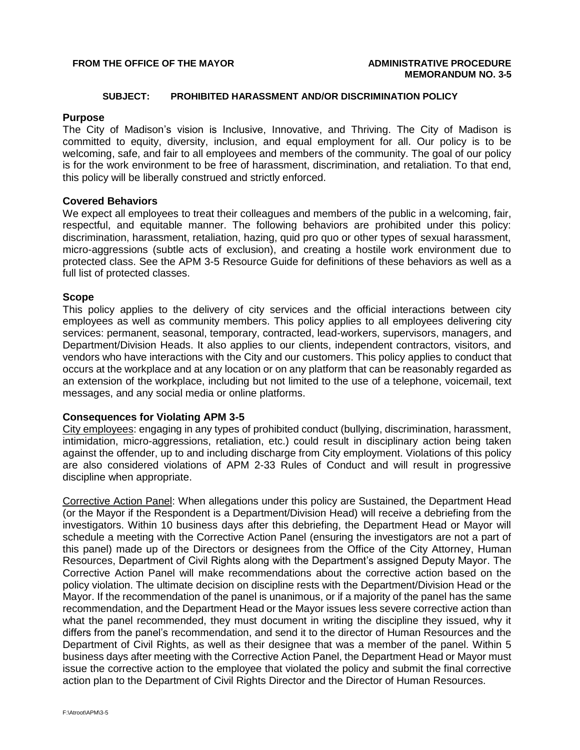#### **FROM THE OFFICE OF THE MAYOR ADMINISTRATIVE PROCEDURE**

# **MEMORANDUM NO. 3-5**

#### **SUBJECT: PROHIBITED HARASSMENT AND/OR DISCRIMINATION POLICY**

#### **Purpose**

The City of Madison's vision is Inclusive, Innovative, and Thriving. The City of Madison is committed to equity, diversity, inclusion, and equal employment for all. Our policy is to be welcoming, safe, and fair to all employees and members of the community. The goal of our policy is for the work environment to be free of harassment, discrimination, and retaliation. To that end, this policy will be liberally construed and strictly enforced.

# **Covered Behaviors**

We expect all employees to treat their colleagues and members of the public in a welcoming, fair, respectful, and equitable manner. The following behaviors are prohibited under this policy: discrimination, harassment, retaliation, hazing, quid pro quo or other types of sexual harassment, micro-aggressions (subtle acts of exclusion), and creating a hostile work environment due to protected class. See the APM 3-5 Resource Guide for definitions of these behaviors as well as a full list of protected classes.

#### **Scope**

This policy applies to the delivery of city services and the official interactions between city employees as well as community members. This policy applies to all employees delivering city services: permanent, seasonal, temporary, contracted, lead-workers, supervisors, managers, and Department/Division Heads. It also applies to our clients, independent contractors, visitors, and vendors who have interactions with the City and our customers. This policy applies to conduct that occurs at the workplace and at any location or on any platform that can be reasonably regarded as an extension of the workplace, including but not limited to the use of a telephone, voicemail, text messages, and any social media or online platforms.

# **Consequences for Violating APM 3-5**

City employees: engaging in any types of prohibited conduct (bullying, discrimination, harassment, intimidation, micro-aggressions, retaliation, etc.) could result in disciplinary action being taken against the offender, up to and including discharge from City employment. Violations of this policy are also considered violations of APM 2-33 Rules of Conduct and will result in progressive discipline when appropriate.

Corrective Action Panel: When allegations under this policy are Sustained, the Department Head (or the Mayor if the Respondent is a Department/Division Head) will receive a debriefing from the investigators. Within 10 business days after this debriefing, the Department Head or Mayor will schedule a meeting with the Corrective Action Panel (ensuring the investigators are not a part of this panel) made up of the Directors or designees from the Office of the City Attorney, Human Resources, Department of Civil Rights along with the Department's assigned Deputy Mayor. The Corrective Action Panel will make recommendations about the corrective action based on the policy violation. The ultimate decision on discipline rests with the Department/Division Head or the Mayor. If the recommendation of the panel is unanimous, or if a majority of the panel has the same recommendation, and the Department Head or the Mayor issues less severe corrective action than what the panel recommended, they must document in writing the discipline they issued, why it differs from the panel's recommendation, and send it to the director of Human Resources and the Department of Civil Rights, as well as their designee that was a member of the panel. Within 5 business days after meeting with the Corrective Action Panel, the Department Head or Mayor must issue the corrective action to the employee that violated the policy and submit the final corrective action plan to the Department of Civil Rights Director and the Director of Human Resources.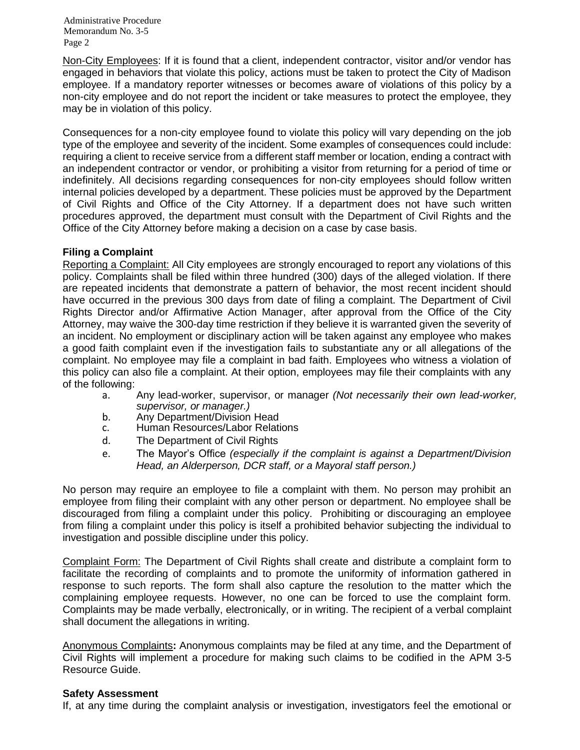Administrative Procedure Memorandum No. 3-5 Page 2

Non-City Employees: If it is found that a client, independent contractor, visitor and/or vendor has engaged in behaviors that violate this policy, actions must be taken to protect the City of Madison employee. If a mandatory reporter witnesses or becomes aware of violations of this policy by a non-city employee and do not report the incident or take measures to protect the employee, they may be in violation of this policy.

Consequences for a non-city employee found to violate this policy will vary depending on the job type of the employee and severity of the incident. Some examples of consequences could include: requiring a client to receive service from a different staff member or location, ending a contract with an independent contractor or vendor, or prohibiting a visitor from returning for a period of time or indefinitely. All decisions regarding consequences for non-city employees should follow written internal policies developed by a department. These policies must be approved by the Department of Civil Rights and Office of the City Attorney. If a department does not have such written procedures approved, the department must consult with the Department of Civil Rights and the Office of the City Attorney before making a decision on a case by case basis.

# **Filing a Complaint**

Reporting a Complaint: All City employees are strongly encouraged to report any violations of this policy. Complaints shall be filed within three hundred (300) days of the alleged violation. If there are repeated incidents that demonstrate a pattern of behavior, the most recent incident should have occurred in the previous 300 days from date of filing a complaint. The Department of Civil Rights Director and/or Affirmative Action Manager, after approval from the Office of the City Attorney, may waive the 300-day time restriction if they believe it is warranted given the severity of an incident. No employment or disciplinary action will be taken against any employee who makes a good faith complaint even if the investigation fails to substantiate any or all allegations of the complaint. No employee may file a complaint in bad faith. Employees who witness a violation of this policy can also file a complaint. At their option, employees may file their complaints with any of the following:

- a. Any lead-worker, supervisor, or manager *(Not necessarily their own lead-worker, supervisor, or manager.)*
- b. Any Department/Division Head<br>c. Human Resources/Labor Relati
- Human Resources/Labor Relations
- d. The Department of Civil Rights
- e. The Mayor's Office *(especially if the complaint is against a Department/Division Head, an Alderperson, DCR staff, or a Mayoral staff person.)*

No person may require an employee to file a complaint with them. No person may prohibit an employee from filing their complaint with any other person or department. No employee shall be discouraged from filing a complaint under this policy. Prohibiting or discouraging an employee from filing a complaint under this policy is itself a prohibited behavior subjecting the individual to investigation and possible discipline under this policy.

Complaint Form: The Department of Civil Rights shall create and distribute a complaint form to facilitate the recording of complaints and to promote the uniformity of information gathered in response to such reports. The form shall also capture the resolution to the matter which the complaining employee requests. However, no one can be forced to use the complaint form. Complaints may be made verbally, electronically, or in writing. The recipient of a verbal complaint shall document the allegations in writing.

Anonymous Complaints**:** Anonymous complaints may be filed at any time, and the Department of Civil Rights will implement a procedure for making such claims to be codified in the APM 3-5 Resource Guide.

# **Safety Assessment**

If, at any time during the complaint analysis or investigation, investigators feel the emotional or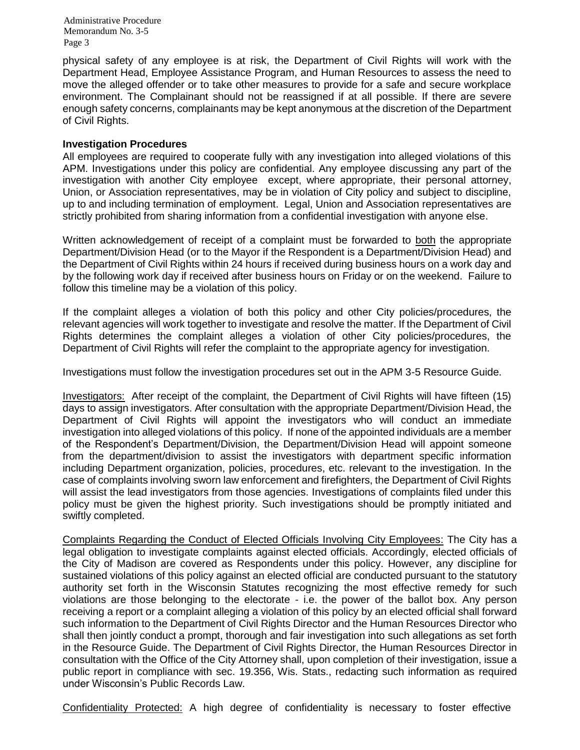Administrative Procedure Memorandum No. 3-5 Page 3

physical safety of any employee is at risk, the Department of Civil Rights will work with the Department Head, Employee Assistance Program, and Human Resources to assess the need to move the alleged offender or to take other measures to provide for a safe and secure workplace environment. The Complainant should not be reassigned if at all possible. If there are severe enough safety concerns, complainants may be kept anonymous at the discretion of the Department of Civil Rights.

# **Investigation Procedures**

All employees are required to cooperate fully with any investigation into alleged violations of this APM. Investigations under this policy are confidential. Any employee discussing any part of the investigation with another City employee except, where appropriate, their personal attorney, Union, or Association representatives, may be in violation of City policy and subject to discipline, up to and including termination of employment. Legal, Union and Association representatives are strictly prohibited from sharing information from a confidential investigation with anyone else.

Written acknowledgement of receipt of a complaint must be forwarded to both the appropriate Department/Division Head (or to the Mayor if the Respondent is a Department/Division Head) and the Department of Civil Rights within 24 hours if received during business hours on a work day and by the following work day if received after business hours on Friday or on the weekend. Failure to follow this timeline may be a violation of this policy.

If the complaint alleges a violation of both this policy and other City policies/procedures, the relevant agencies will work together to investigate and resolve the matter. If the Department of Civil Rights determines the complaint alleges a violation of other City policies/procedures, the Department of Civil Rights will refer the complaint to the appropriate agency for investigation.

Investigations must follow the investigation procedures set out in the APM 3-5 Resource Guide.

Investigators: After receipt of the complaint, the Department of Civil Rights will have fifteen (15) days to assign investigators. After consultation with the appropriate Department/Division Head, the Department of Civil Rights will appoint the investigators who will conduct an immediate investigation into alleged violations of this policy. If none of the appointed individuals are a member of the Respondent's Department/Division, the Department/Division Head will appoint someone from the department/division to assist the investigators with department specific information including Department organization, policies, procedures, etc. relevant to the investigation. In the case of complaints involving sworn law enforcement and firefighters, the Department of Civil Rights will assist the lead investigators from those agencies. Investigations of complaints filed under this policy must be given the highest priority. Such investigations should be promptly initiated and swiftly completed.

Complaints Regarding the Conduct of Elected Officials Involving City Employees: The City has a legal obligation to investigate complaints against elected officials. Accordingly, elected officials of the City of Madison are covered as Respondents under this policy. However, any discipline for sustained violations of this policy against an elected official are conducted pursuant to the statutory authority set forth in the Wisconsin Statutes recognizing the most effective remedy for such violations are those belonging to the electorate - i.e. the power of the ballot box. Any person receiving a report or a complaint alleging a violation of this policy by an elected official shall forward such information to the Department of Civil Rights Director and the Human Resources Director who shall then jointly conduct a prompt, thorough and fair investigation into such allegations as set forth in the Resource Guide. The Department of Civil Rights Director, the Human Resources Director in consultation with the Office of the City Attorney shall, upon completion of their investigation, issue a public report in compliance with sec. 19.356, Wis. Stats., redacting such information as required under Wisconsin's Public Records Law.

Confidentiality Protected: A high degree of confidentiality is necessary to foster effective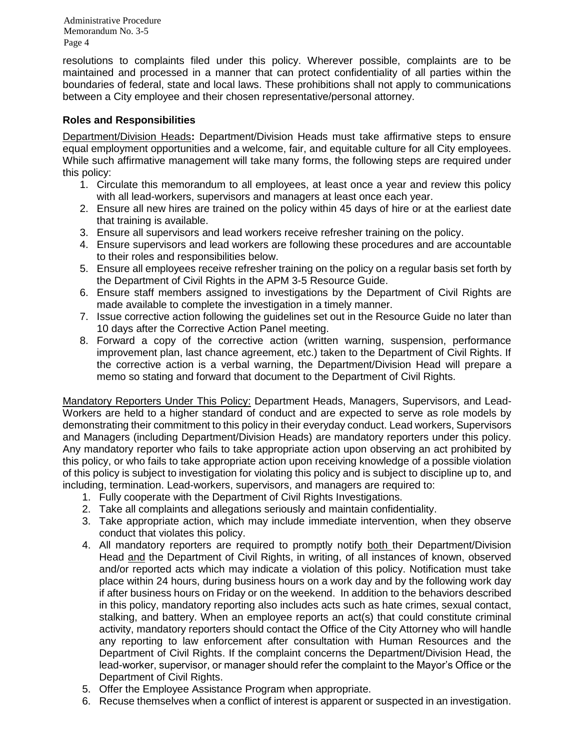Administrative Procedure Memorandum No. 3-5 Page 4

resolutions to complaints filed under this policy. Wherever possible, complaints are to be maintained and processed in a manner that can protect confidentiality of all parties within the boundaries of federal, state and local laws. These prohibitions shall not apply to communications between a City employee and their chosen representative/personal attorney.

# **Roles and Responsibilities**

Department/Division Heads**:** Department/Division Heads must take affirmative steps to ensure equal employment opportunities and a welcome, fair, and equitable culture for all City employees. While such affirmative management will take many forms, the following steps are required under this policy:

- 1. Circulate this memorandum to all employees, at least once a year and review this policy with all lead-workers, supervisors and managers at least once each year.
- 2. Ensure all new hires are trained on the policy within 45 days of hire or at the earliest date that training is available.
- 3. Ensure all supervisors and lead workers receive refresher training on the policy.
- 4. Ensure supervisors and lead workers are following these procedures and are accountable to their roles and responsibilities below.
- 5. Ensure all employees receive refresher training on the policy on a regular basis set forth by the Department of Civil Rights in the APM 3-5 Resource Guide.
- 6. Ensure staff members assigned to investigations by the Department of Civil Rights are made available to complete the investigation in a timely manner.
- 7. Issue corrective action following the guidelines set out in the Resource Guide no later than 10 days after the Corrective Action Panel meeting.
- 8. Forward a copy of the corrective action (written warning, suspension, performance improvement plan, last chance agreement, etc.) taken to the Department of Civil Rights. If the corrective action is a verbal warning, the Department/Division Head will prepare a memo so stating and forward that document to the Department of Civil Rights.

Mandatory Reporters Under This Policy: Department Heads, Managers, Supervisors, and Lead-Workers are held to a higher standard of conduct and are expected to serve as role models by demonstrating their commitment to this policy in their everyday conduct. Lead workers, Supervisors and Managers (including Department/Division Heads) are mandatory reporters under this policy. Any mandatory reporter who fails to take appropriate action upon observing an act prohibited by this policy, or who fails to take appropriate action upon receiving knowledge of a possible violation of this policy is subject to investigation for violating this policy and is subject to discipline up to, and including, termination. Lead-workers, supervisors, and managers are required to:

- 1. Fully cooperate with the Department of Civil Rights Investigations.
- 2. Take all complaints and allegations seriously and maintain confidentiality.
- 3. Take appropriate action, which may include immediate intervention, when they observe conduct that violates this policy.
- 4. All mandatory reporters are required to promptly notify both their Department/Division Head and the Department of Civil Rights, in writing, of all instances of known, observed and/or reported acts which may indicate a violation of this policy. Notification must take place within 24 hours, during business hours on a work day and by the following work day if after business hours on Friday or on the weekend. In addition to the behaviors described in this policy, mandatory reporting also includes acts such as hate crimes, sexual contact, stalking, and battery. When an employee reports an act(s) that could constitute criminal activity, mandatory reporters should contact the Office of the City Attorney who will handle any reporting to law enforcement after consultation with Human Resources and the Department of Civil Rights. If the complaint concerns the Department/Division Head, the lead-worker, supervisor, or manager should refer the complaint to the Mayor's Office or the Department of Civil Rights.
- 5. Offer the Employee Assistance Program when appropriate.
- 6. Recuse themselves when a conflict of interest is apparent or suspected in an investigation.